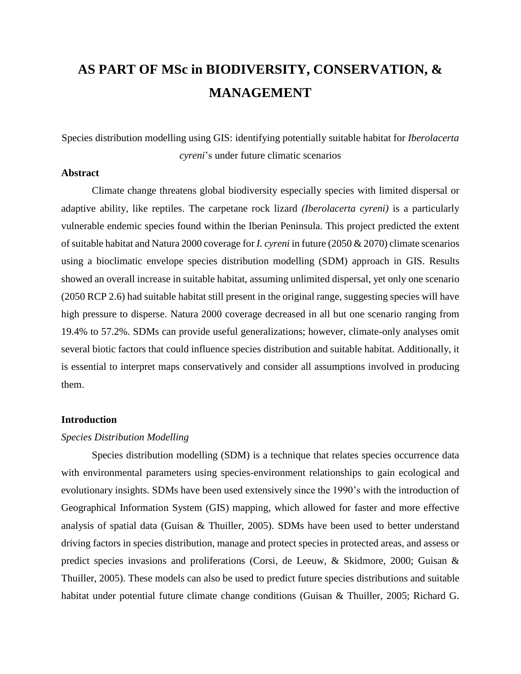# **AS PART OF MSc in BIODIVERSITY, CONSERVATION, & MANAGEMENT**

Species distribution modelling using GIS: identifying potentially suitable habitat for *Iberolacerta cyreni*'s under future climatic scenarios

# **Abstract**

Climate change threatens global biodiversity especially species with limited dispersal or adaptive ability, like reptiles. The carpetane rock lizard *(Iberolacerta cyreni)* is a particularly vulnerable endemic species found within the Iberian Peninsula. This project predicted the extent of suitable habitat and Natura 2000 coverage for *I. cyreni* in future (2050 & 2070) climate scenarios using a bioclimatic envelope species distribution modelling (SDM) approach in GIS. Results showed an overall increase in suitable habitat, assuming unlimited dispersal, yet only one scenario (2050 RCP 2.6) had suitable habitat still present in the original range, suggesting species will have high pressure to disperse. Natura 2000 coverage decreased in all but one scenario ranging from 19.4% to 57.2%. SDMs can provide useful generalizations; however, climate-only analyses omit several biotic factors that could influence species distribution and suitable habitat. Additionally, it is essential to interpret maps conservatively and consider all assumptions involved in producing them.

#### **Introduction**

# *Species Distribution Modelling*

Species distribution modelling (SDM) is a technique that relates species occurrence data with environmental parameters using species-environment relationships to gain ecological and evolutionary insights. SDMs have been used extensively since the 1990's with the introduction of Geographical Information System (GIS) mapping, which allowed for faster and more effective analysis of spatial data (Guisan & Thuiller, 2005). SDMs have been used to better understand driving factors in species distribution, manage and protect species in protected areas, and assess or predict species invasions and proliferations (Corsi, de Leeuw, & Skidmore, 2000; Guisan & Thuiller, 2005). These models can also be used to predict future species distributions and suitable habitat under potential future climate change conditions (Guisan & Thuiller, 2005; Richard G.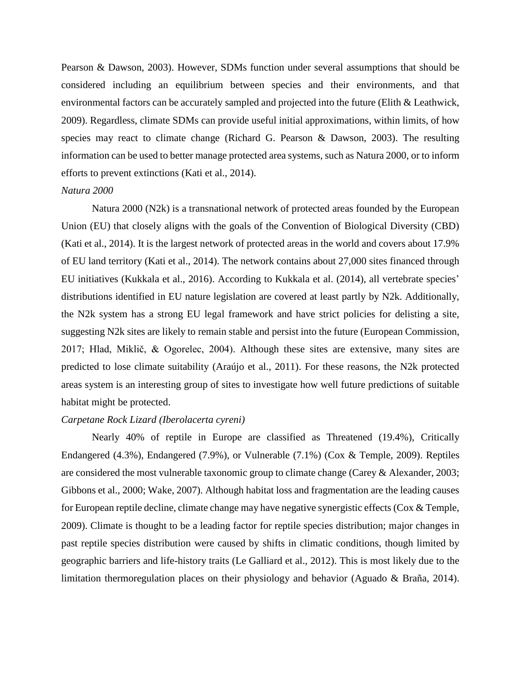Pearson & Dawson, 2003). However, SDMs function under several assumptions that should be considered including an equilibrium between species and their environments, and that environmental factors can be accurately sampled and projected into the future (Elith & Leathwick, 2009). Regardless, climate SDMs can provide useful initial approximations, within limits, of how species may react to climate change (Richard G. Pearson & Dawson, 2003). The resulting information can be used to better manage protected area systems, such as Natura 2000, or to inform efforts to prevent extinctions (Kati et al., 2014).

## *Natura 2000*

Natura 2000 (N2k) is a transnational network of protected areas founded by the European Union (EU) that closely aligns with the goals of the Convention of Biological Diversity (CBD) (Kati et al., 2014). It is the largest network of protected areas in the world and covers about 17.9% of EU land territory (Kati et al., 2014). The network contains about 27,000 sites financed through EU initiatives (Kukkala et al., 2016). According to Kukkala et al. (2014), all vertebrate species' distributions identified in EU nature legislation are covered at least partly by N2k. Additionally, the N2k system has a strong EU legal framework and have strict policies for delisting a site, suggesting N2k sites are likely to remain stable and persist into the future (European Commission, 2017; Hlad, Miklič, & Ogorelec, 2004). Although these sites are extensive, many sites are predicted to lose climate suitability (Araújo et al., 2011). For these reasons, the N2k protected areas system is an interesting group of sites to investigate how well future predictions of suitable habitat might be protected.

# *Carpetane Rock Lizard (Iberolacerta cyreni)*

Nearly 40% of reptile in Europe are classified as Threatened (19.4%), Critically Endangered (4.3%), Endangered (7.9%), or Vulnerable (7.1%) (Cox & Temple, 2009). Reptiles are considered the most vulnerable taxonomic group to climate change (Carey & Alexander, 2003; Gibbons et al., 2000; Wake, 2007). Although habitat loss and fragmentation are the leading causes for European reptile decline, climate change may have negative synergistic effects (Cox & Temple, 2009). Climate is thought to be a leading factor for reptile species distribution; major changes in past reptile species distribution were caused by shifts in climatic conditions, though limited by geographic barriers and life-history traits (Le Galliard et al., 2012). This is most likely due to the limitation thermoregulation places on their physiology and behavior (Aguado & Braña, 2014).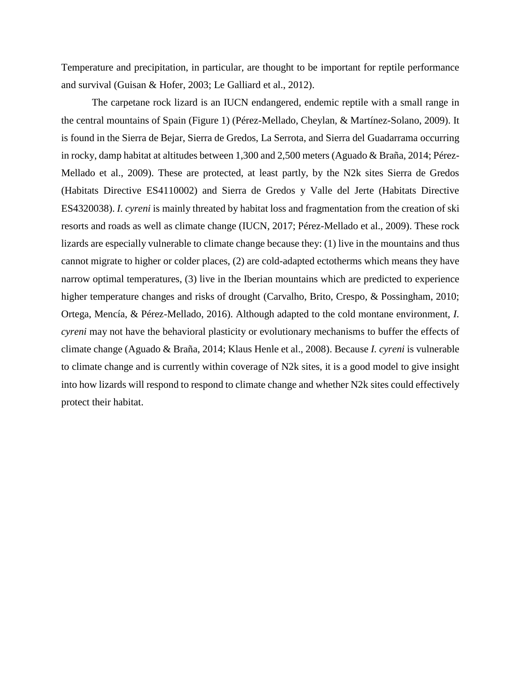Temperature and precipitation, in particular, are thought to be important for reptile performance and survival (Guisan & Hofer, 2003; Le Galliard et al., 2012).

The carpetane rock lizard is an IUCN endangered, endemic reptile with a small range in the central mountains of Spain (Figure 1) (Pérez-Mellado, Cheylan, & Martínez-Solano, 2009). It is found in the Sierra de Bejar, Sierra de Gredos, La Serrota, and Sierra del Guadarrama occurring in rocky, damp habitat at altitudes between 1,300 and 2,500 meters (Aguado & Braña, 2014; Pérez-Mellado et al., 2009). These are protected, at least partly, by the N2k sites Sierra de Gredos (Habitats Directive ES4110002) and Sierra de Gredos y Valle del Jerte (Habitats Directive ES4320038). *I. cyreni* is mainly threated by habitat loss and fragmentation from the creation of ski resorts and roads as well as climate change (IUCN, 2017; Pérez-Mellado et al., 2009). These rock lizards are especially vulnerable to climate change because they: (1) live in the mountains and thus cannot migrate to higher or colder places, (2) are cold-adapted ectotherms which means they have narrow optimal temperatures, (3) live in the Iberian mountains which are predicted to experience higher temperature changes and risks of drought (Carvalho, Brito, Crespo, & Possingham, 2010; Ortega, Mencía, & Pérez-Mellado, 2016). Although adapted to the cold montane environment, *I. cyreni* may not have the behavioral plasticity or evolutionary mechanisms to buffer the effects of climate change (Aguado & Braña, 2014; Klaus Henle et al., 2008). Because *I. cyreni* is vulnerable to climate change and is currently within coverage of N2k sites, it is a good model to give insight into how lizards will respond to respond to climate change and whether N2k sites could effectively protect their habitat.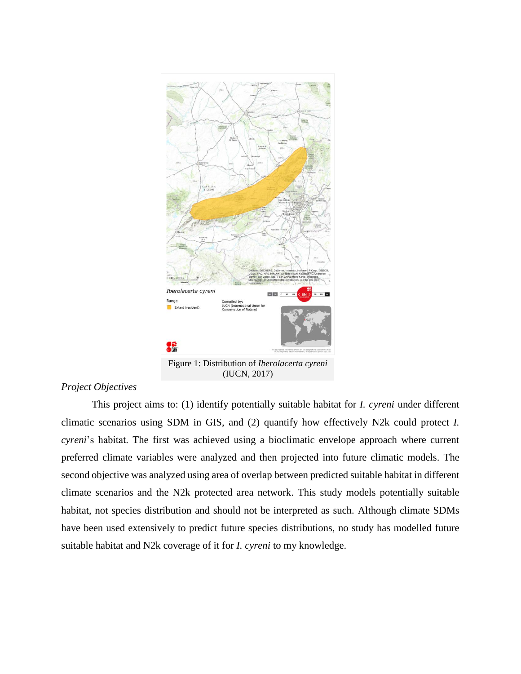

# *Project Objectives*

This project aims to: (1) identify potentially suitable habitat for *I. cyreni* under different climatic scenarios using SDM in GIS, and (2) quantify how effectively N2k could protect *I. cyreni*'s habitat. The first was achieved using a bioclimatic envelope approach where current preferred climate variables were analyzed and then projected into future climatic models. The second objective was analyzed using area of overlap between predicted suitable habitat in different climate scenarios and the N2k protected area network. This study models potentially suitable habitat, not species distribution and should not be interpreted as such. Although climate SDMs have been used extensively to predict future species distributions, no study has modelled future suitable habitat and N2k coverage of it for *I. cyreni* to my knowledge.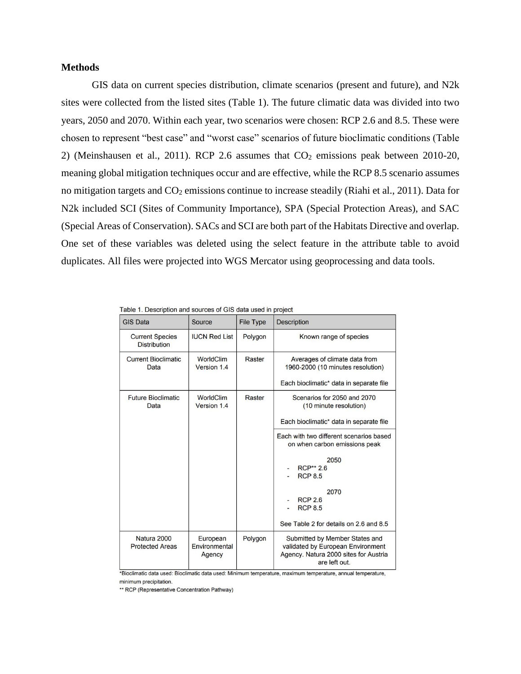## **Methods**

GIS data on current species distribution, climate scenarios (present and future), and N2k sites were collected from the listed sites (Table 1). The future climatic data was divided into two years, 2050 and 2070. Within each year, two scenarios were chosen: RCP 2.6 and 8.5. These were chosen to represent "best case" and "worst case" scenarios of future bioclimatic conditions (Table 2) (Meinshausen et al., 2011). RCP 2.6 assumes that  $CO<sub>2</sub>$  emissions peak between 2010-20, meaning global mitigation techniques occur and are effective, while the RCP 8.5 scenario assumes no mitigation targets and  $CO<sub>2</sub>$  emissions continue to increase steadily (Riahi et al., 2011). Data for N2k included SCI (Sites of Community Importance), SPA (Special Protection Areas), and SAC (Special Areas of Conservation). SACs and SCI are both part of the Habitats Directive and overlap. One set of these variables was deleted using the select feature in the attribute table to avoid duplicates. All files were projected into WGS Mercator using geoprocessing and data tools.

| <b>GIS Data</b>                               | Source                              | <b>File Type</b> | <b>Description</b>                                                                                                            |
|-----------------------------------------------|-------------------------------------|------------------|-------------------------------------------------------------------------------------------------------------------------------|
| <b>Current Species</b><br><b>Distribution</b> | <b>IUCN Red List</b>                | Polygon          | Known range of species                                                                                                        |
| <b>Current Bioclimatic</b><br>Data            | WorldClim<br>Version 1.4            | Raster           | Averages of climate data from<br>1960-2000 (10 minutes resolution)                                                            |
|                                               |                                     |                  | Each bioclimatic* data in separate file                                                                                       |
| <b>Future Bioclimatic</b><br>Data             | <b>WorldClim</b><br>Version 1.4     | Raster           | Scenarios for 2050 and 2070<br>(10 minute resolution)                                                                         |
|                                               |                                     |                  | Each bioclimatic* data in separate file                                                                                       |
|                                               |                                     |                  | Each with two different scenarios based<br>on when carbon emissions peak                                                      |
|                                               |                                     |                  | 2050<br><b>RCP** 2.6</b><br><b>RCP 8.5</b>                                                                                    |
|                                               |                                     |                  | 2070<br><b>RCP 2.6</b><br><b>RCP 8.5</b>                                                                                      |
|                                               |                                     |                  | See Table 2 for details on 2.6 and 8.5                                                                                        |
| Natura 2000<br><b>Protected Areas</b>         | European<br>Environmental<br>Agency | Polygon          | Submitted by Member States and<br>validated by European Environment<br>Agency. Natura 2000 sites for Austria<br>are left out. |

| Table 1. Description and sources of GIS data used in project |  |
|--------------------------------------------------------------|--|
|--------------------------------------------------------------|--|

\*Bioclimatic data used: Bioclimatic data used: Minimum temperature, maximum temperature, annual temperature, minimum precipitation.

\*\* RCP (Representative Concentration Pathway)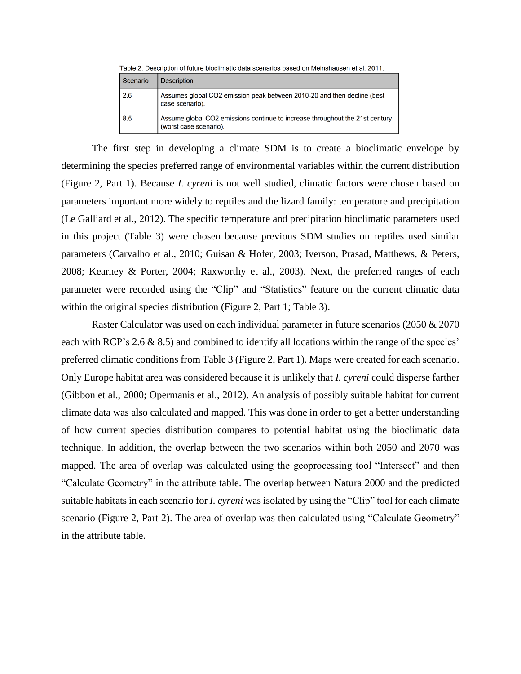| Table 2. Description of future bioclimatic data scenarios based on Meinshausen et al. 2011. |                                                                                                        |  |
|---------------------------------------------------------------------------------------------|--------------------------------------------------------------------------------------------------------|--|
| Scenario                                                                                    | <b>Description</b>                                                                                     |  |
| 2.6                                                                                         | Assumes global CO2 emission peak between 2010-20 and then decline (best<br>case scenario).             |  |
| 8.5                                                                                         | Assume global CO2 emissions continue to increase throughout the 21st century<br>(worst case scenario). |  |

The first step in developing a climate SDM is to create a bioclimatic envelope by determining the species preferred range of environmental variables within the current distribution (Figure 2, Part 1). Because *I. cyreni* is not well studied, climatic factors were chosen based on parameters important more widely to reptiles and the lizard family: temperature and precipitation (Le Galliard et al., 2012). The specific temperature and precipitation bioclimatic parameters used in this project (Table 3) were chosen because previous SDM studies on reptiles used similar parameters (Carvalho et al., 2010; Guisan & Hofer, 2003; Iverson, Prasad, Matthews, & Peters, 2008; Kearney & Porter, 2004; Raxworthy et al., 2003). Next, the preferred ranges of each parameter were recorded using the "Clip" and "Statistics" feature on the current climatic data within the original species distribution (Figure 2, Part 1; Table 3).

Raster Calculator was used on each individual parameter in future scenarios (2050 & 2070 each with RCP's 2.6 & 8.5) and combined to identify all locations within the range of the species' preferred climatic conditions from Table 3 (Figure 2, Part 1). Maps were created for each scenario. Only Europe habitat area was considered because it is unlikely that *I. cyreni* could disperse farther (Gibbon et al., 2000; Opermanis et al., 2012). An analysis of possibly suitable habitat for current climate data was also calculated and mapped. This was done in order to get a better understanding of how current species distribution compares to potential habitat using the bioclimatic data technique. In addition, the overlap between the two scenarios within both 2050 and 2070 was mapped. The area of overlap was calculated using the geoprocessing tool "Intersect" and then "Calculate Geometry" in the attribute table. The overlap between Natura 2000 and the predicted suitable habitats in each scenario for *I. cyreni* was isolated by using the "Clip" tool for each climate scenario (Figure 2, Part 2). The area of overlap was then calculated using "Calculate Geometry" in the attribute table.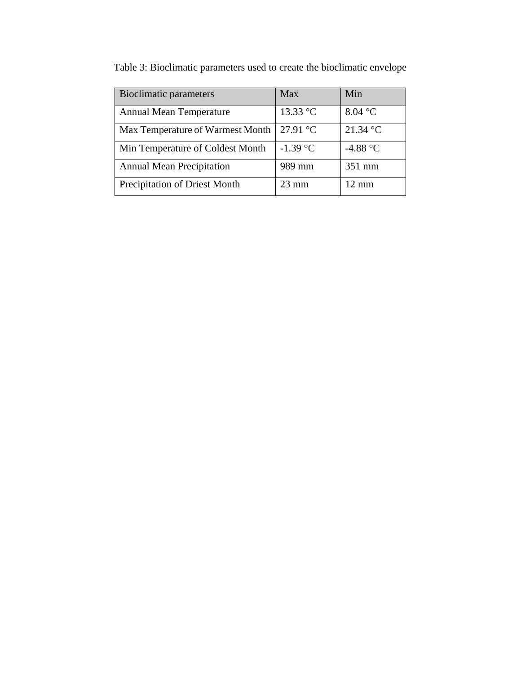| <b>Bioclimatic parameters</b>    | <b>Max</b>      | Min               |
|----------------------------------|-----------------|-------------------|
| <b>Annual Mean Temperature</b>   | 13.33 °C        | 8.04 °C           |
| Max Temperature of Warmest Month | 27.91 °C        | 21.34 °C          |
| Min Temperature of Coldest Month | $-1.39$ °C      | -4.88 $\degree$ C |
| <b>Annual Mean Precipitation</b> | 989 mm          | 351 mm            |
| Precipitation of Driest Month    | $23 \text{ mm}$ | $12 \text{ mm}$   |

Table 3: Bioclimatic parameters used to create the bioclimatic envelope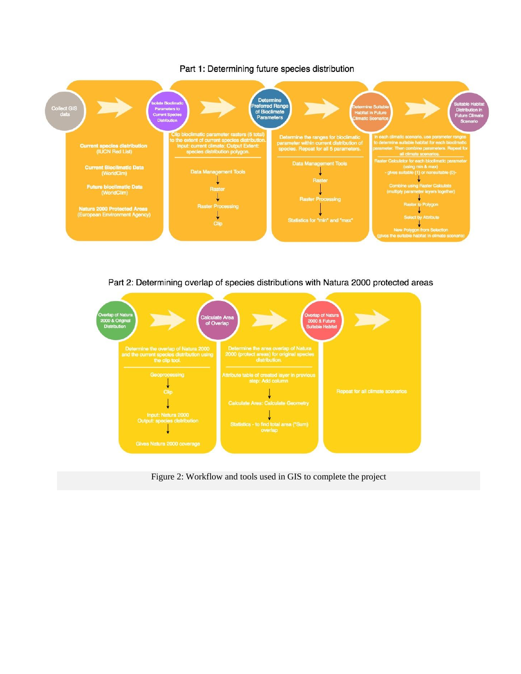

### Part 1: Determining future species distribution

Part 2: Determining overlap of species distributions with Natura 2000 protected areas



Figure 2: Workflow and tools used in GIS to complete the project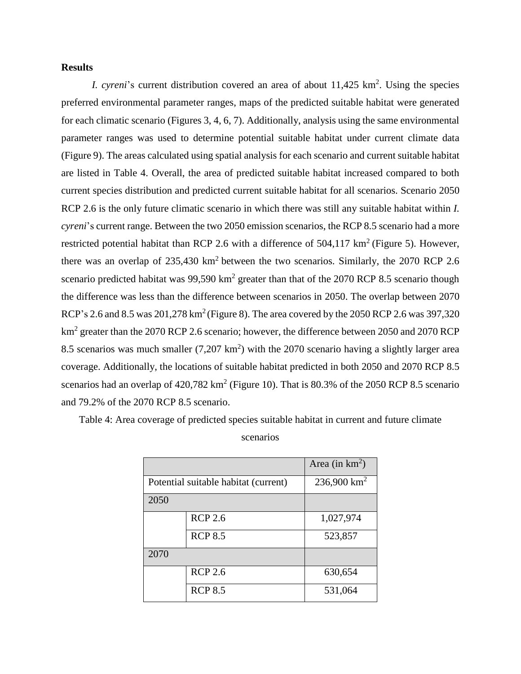## **Results**

*I. cyreni*'s current distribution covered an area of about 11,425 km<sup>2</sup>. Using the species preferred environmental parameter ranges, maps of the predicted suitable habitat were generated for each climatic scenario (Figures 3, 4, 6, 7). Additionally, analysis using the same environmental parameter ranges was used to determine potential suitable habitat under current climate data (Figure 9). The areas calculated using spatial analysis for each scenario and current suitable habitat are listed in Table 4. Overall, the area of predicted suitable habitat increased compared to both current species distribution and predicted current suitable habitat for all scenarios. Scenario 2050 RCP 2.6 is the only future climatic scenario in which there was still any suitable habitat within *I. cyreni*'s current range. Between the two 2050 emission scenarios, the RCP 8.5 scenario had a more restricted potential habitat than RCP 2.6 with a difference of  $504,117 \text{ km}^2$  (Figure 5). However, there was an overlap of  $235,430 \text{ km}^2$  between the two scenarios. Similarly, the  $2070 \text{ RCP } 2.6$ scenario predicted habitat was  $99,590 \text{ km}^2$  greater than that of the 2070 RCP 8.5 scenario though the difference was less than the difference between scenarios in 2050. The overlap between 2070 RCP's 2.6 and 8.5 was  $201,278 \text{ km}^2$  (Figure 8). The area covered by the  $2050$  RCP 2.6 was 397,320 km<sup>2</sup> greater than the 2070 RCP 2.6 scenario; however, the difference between 2050 and 2070 RCP 8.5 scenarios was much smaller  $(7,207 \text{ km}^2)$  with the 2070 scenario having a slightly larger area coverage. Additionally, the locations of suitable habitat predicted in both 2050 and 2070 RCP 8.5 scenarios had an overlap of  $420,782 \text{ km}^2$  (Figure 10). That is 80.3% of the 2050 RCP 8.5 scenario and 79.2% of the 2070 RCP 8.5 scenario.

Table 4: Area coverage of predicted species suitable habitat in current and future climate

| scenarios |  |
|-----------|--|

|                                      |                | Area (in $km^2$ ) |
|--------------------------------------|----------------|-------------------|
| Potential suitable habitat (current) |                | 236,900 $km^2$    |
| 2050                                 |                |                   |
|                                      | <b>RCP 2.6</b> | 1,027,974         |
|                                      | <b>RCP 8.5</b> | 523,857           |
| 2070                                 |                |                   |
|                                      | <b>RCP 2.6</b> | 630,654           |
|                                      | <b>RCP 8.5</b> | 531,064           |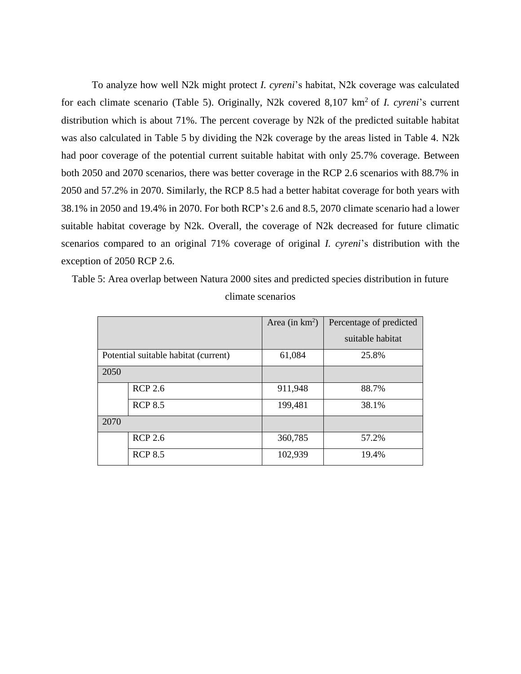To analyze how well N2k might protect *I. cyreni*'s habitat, N2k coverage was calculated for each climate scenario (Table 5). Originally, N2k covered 8,107 km<sup>2</sup> of *I. cyreni*'s current distribution which is about 71%. The percent coverage by N2k of the predicted suitable habitat was also calculated in Table 5 by dividing the N2k coverage by the areas listed in Table 4. N2k had poor coverage of the potential current suitable habitat with only 25.7% coverage. Between both 2050 and 2070 scenarios, there was better coverage in the RCP 2.6 scenarios with 88.7% in 2050 and 57.2% in 2070. Similarly, the RCP 8.5 had a better habitat coverage for both years with 38.1% in 2050 and 19.4% in 2070. For both RCP's 2.6 and 8.5, 2070 climate scenario had a lower suitable habitat coverage by N2k. Overall, the coverage of N2k decreased for future climatic scenarios compared to an original 71% coverage of original *I. cyreni*'s distribution with the exception of 2050 RCP 2.6.

Table 5: Area overlap between Natura 2000 sites and predicted species distribution in future climate scenarios

|      |                                      | Area (in $km^2$ ) | Percentage of predicted |
|------|--------------------------------------|-------------------|-------------------------|
|      |                                      |                   | suitable habitat        |
|      | Potential suitable habitat (current) | 61,084            | 25.8%                   |
| 2050 |                                      |                   |                         |
|      | <b>RCP 2.6</b>                       | 911,948           | 88.7%                   |
|      | <b>RCP 8.5</b>                       | 199,481           | 38.1%                   |
| 2070 |                                      |                   |                         |
|      | <b>RCP 2.6</b>                       | 360,785           | 57.2%                   |
|      | <b>RCP 8.5</b>                       | 102,939           | 19.4%                   |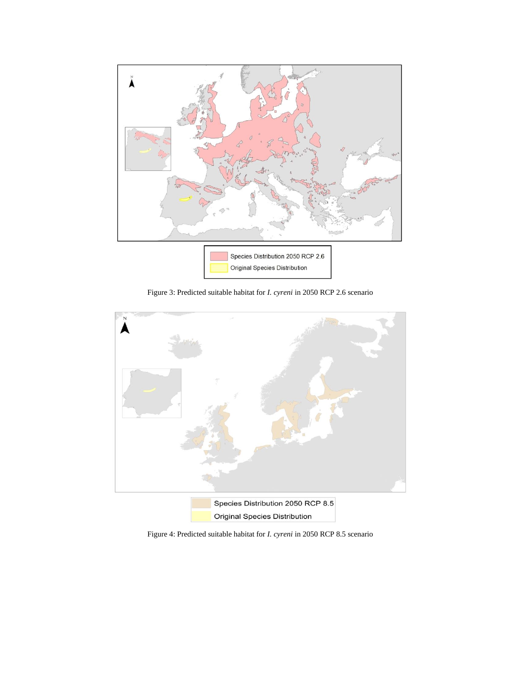

Figure 3: Predicted suitable habitat for *I. cyreni* in 2050 RCP 2.6 scenario



Figure 4: Predicted suitable habitat for *I. cyreni* in 2050 RCP 8.5 scenario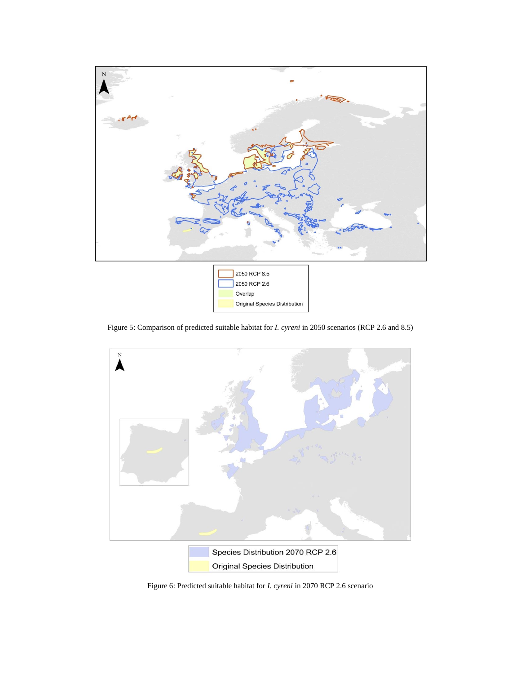

Figure 5: Comparison of predicted suitable habitat for *I. cyreni* in 2050 scenarios (RCP 2.6 and 8.5)



Figure 6: Predicted suitable habitat for *I. cyreni* in 2070 RCP 2.6 scenario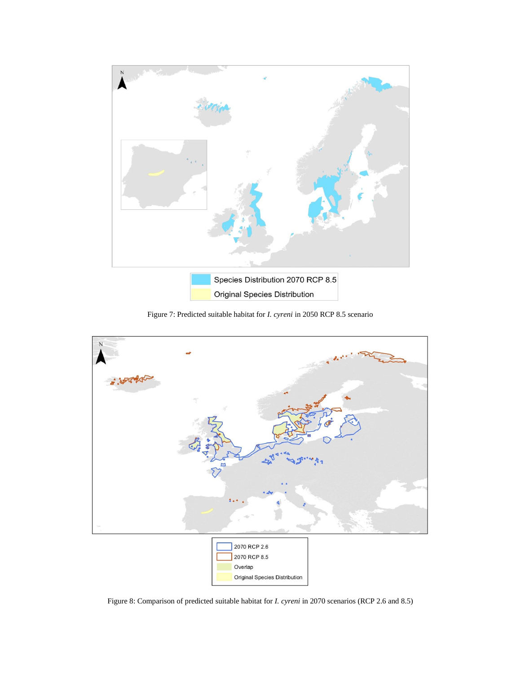

Figure 7: Predicted suitable habitat for *I. cyreni* in 2050 RCP 8.5 scenario



Figure 8: Comparison of predicted suitable habitat for *I. cyreni* in 2070 scenarios (RCP 2.6 and 8.5)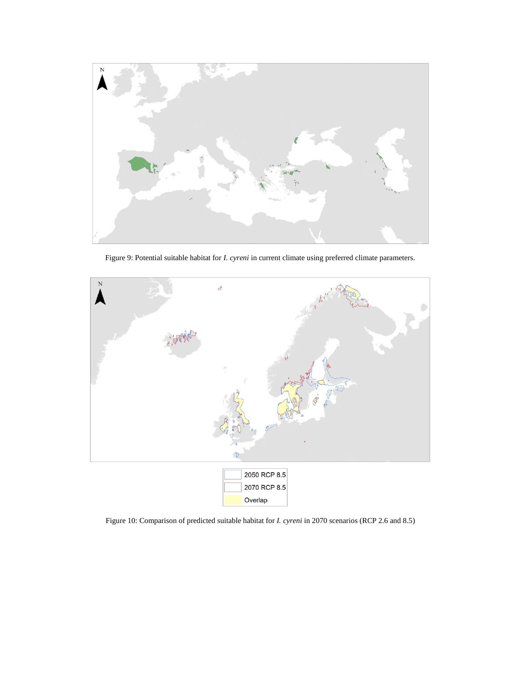

Figure 9: Potential suitable habitat for *I. cyreni* in current climate using preferred climate parameters.



Figure 10: Comparison of predicted suitable habitat for *I. cyreni* in 2070 scenarios (RCP 2.6 and 8.5)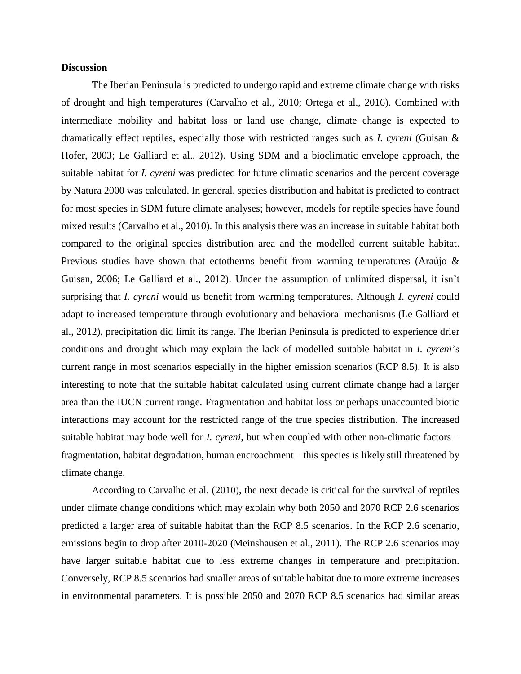## **Discussion**

The Iberian Peninsula is predicted to undergo rapid and extreme climate change with risks of drought and high temperatures (Carvalho et al., 2010; Ortega et al., 2016). Combined with intermediate mobility and habitat loss or land use change, climate change is expected to dramatically effect reptiles, especially those with restricted ranges such as *I. cyreni* (Guisan & Hofer, 2003; Le Galliard et al., 2012). Using SDM and a bioclimatic envelope approach, the suitable habitat for *I. cyreni* was predicted for future climatic scenarios and the percent coverage by Natura 2000 was calculated. In general, species distribution and habitat is predicted to contract for most species in SDM future climate analyses; however, models for reptile species have found mixed results (Carvalho et al., 2010). In this analysis there was an increase in suitable habitat both compared to the original species distribution area and the modelled current suitable habitat. Previous studies have shown that ectotherms benefit from warming temperatures (Araújo & Guisan, 2006; Le Galliard et al., 2012). Under the assumption of unlimited dispersal, it isn't surprising that *I. cyreni* would us benefit from warming temperatures. Although *I. cyreni* could adapt to increased temperature through evolutionary and behavioral mechanisms (Le Galliard et al., 2012), precipitation did limit its range. The Iberian Peninsula is predicted to experience drier conditions and drought which may explain the lack of modelled suitable habitat in *I. cyreni*'s current range in most scenarios especially in the higher emission scenarios (RCP 8.5). It is also interesting to note that the suitable habitat calculated using current climate change had a larger area than the IUCN current range. Fragmentation and habitat loss or perhaps unaccounted biotic interactions may account for the restricted range of the true species distribution. The increased suitable habitat may bode well for *I. cyreni*, but when coupled with other non-climatic factors – fragmentation, habitat degradation, human encroachment – this species is likely still threatened by climate change.

According to Carvalho et al. (2010), the next decade is critical for the survival of reptiles under climate change conditions which may explain why both 2050 and 2070 RCP 2.6 scenarios predicted a larger area of suitable habitat than the RCP 8.5 scenarios. In the RCP 2.6 scenario, emissions begin to drop after 2010-2020 (Meinshausen et al., 2011). The RCP 2.6 scenarios may have larger suitable habitat due to less extreme changes in temperature and precipitation. Conversely, RCP 8.5 scenarios had smaller areas of suitable habitat due to more extreme increases in environmental parameters. It is possible 2050 and 2070 RCP 8.5 scenarios had similar areas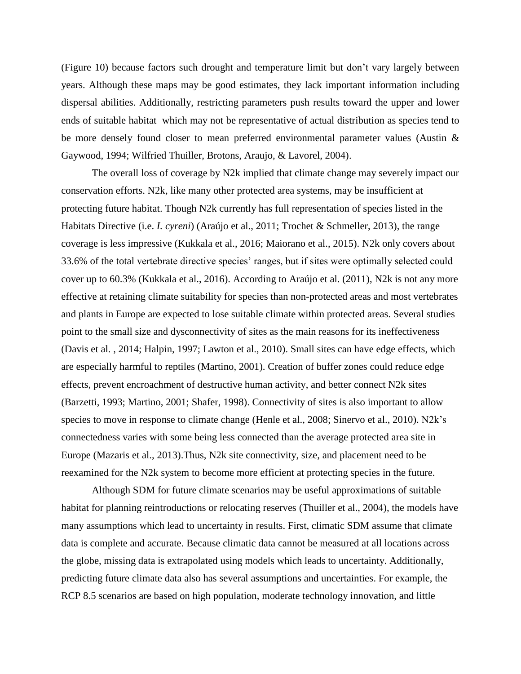(Figure 10) because factors such drought and temperature limit but don't vary largely between years. Although these maps may be good estimates, they lack important information including dispersal abilities. Additionally, restricting parameters push results toward the upper and lower ends of suitable habitat which may not be representative of actual distribution as species tend to be more densely found closer to mean preferred environmental parameter values (Austin & Gaywood, 1994; Wilfried Thuiller, Brotons, Araujo, & Lavorel, 2004).

The overall loss of coverage by N2k implied that climate change may severely impact our conservation efforts. N2k, like many other protected area systems, may be insufficient at protecting future habitat. Though N2k currently has full representation of species listed in the Habitats Directive (i.e. *I. cyreni*) (Araújo et al., 2011; Trochet & Schmeller, 2013), the range coverage is less impressive (Kukkala et al., 2016; Maiorano et al., 2015). N2k only covers about 33.6% of the total vertebrate directive species' ranges, but if sites were optimally selected could cover up to 60.3% (Kukkala et al., 2016). According to Araújo et al. (2011), N2k is not any more effective at retaining climate suitability for species than non-protected areas and most vertebrates and plants in Europe are expected to lose suitable climate within protected areas. Several studies point to the small size and dysconnectivity of sites as the main reasons for its ineffectiveness (Davis et al. , 2014; Halpin, 1997; Lawton et al., 2010). Small sites can have edge effects, which are especially harmful to reptiles (Martino, 2001). Creation of buffer zones could reduce edge effects, prevent encroachment of destructive human activity, and better connect N2k sites (Barzetti, 1993; Martino, 2001; Shafer, 1998). Connectivity of sites is also important to allow species to move in response to climate change (Henle et al., 2008; Sinervo et al., 2010). N2k's connectedness varies with some being less connected than the average protected area site in Europe (Mazaris et al., 2013).Thus, N2k site connectivity, size, and placement need to be reexamined for the N2k system to become more efficient at protecting species in the future.

Although SDM for future climate scenarios may be useful approximations of suitable habitat for planning reintroductions or relocating reserves (Thuiller et al., 2004), the models have many assumptions which lead to uncertainty in results. First, climatic SDM assume that climate data is complete and accurate. Because climatic data cannot be measured at all locations across the globe, missing data is extrapolated using models which leads to uncertainty. Additionally, predicting future climate data also has several assumptions and uncertainties. For example, the RCP 8.5 scenarios are based on high population, moderate technology innovation, and little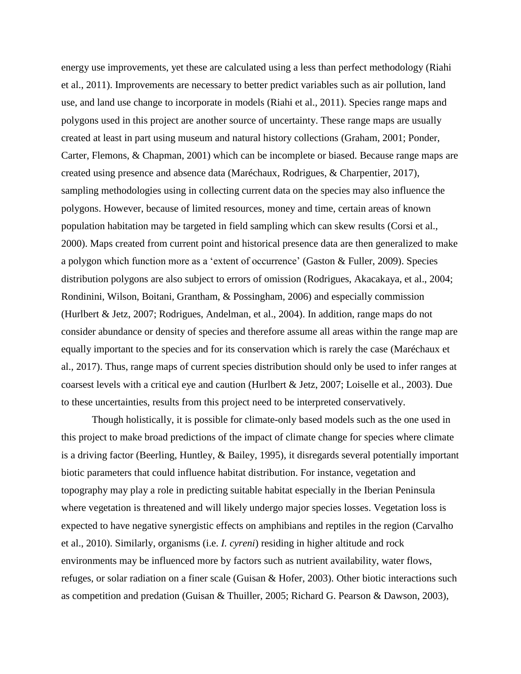energy use improvements, yet these are calculated using a less than perfect methodology (Riahi et al., 2011). Improvements are necessary to better predict variables such as air pollution, land use, and land use change to incorporate in models (Riahi et al., 2011). Species range maps and polygons used in this project are another source of uncertainty. These range maps are usually created at least in part using museum and natural history collections (Graham, 2001; Ponder, Carter, Flemons, & Chapman, 2001) which can be incomplete or biased. Because range maps are created using presence and absence data (Maréchaux, Rodrigues, & Charpentier, 2017), sampling methodologies using in collecting current data on the species may also influence the polygons. However, because of limited resources, money and time, certain areas of known population habitation may be targeted in field sampling which can skew results (Corsi et al., 2000). Maps created from current point and historical presence data are then generalized to make a polygon which function more as a 'extent of occurrence' (Gaston & Fuller, 2009). Species distribution polygons are also subject to errors of omission (Rodrigues, Akacakaya, et al., 2004; Rondinini, Wilson, Boitani, Grantham, & Possingham, 2006) and especially commission (Hurlbert & Jetz, 2007; Rodrigues, Andelman, et al., 2004). In addition, range maps do not consider abundance or density of species and therefore assume all areas within the range map are equally important to the species and for its conservation which is rarely the case (Maréchaux et al., 2017). Thus, range maps of current species distribution should only be used to infer ranges at coarsest levels with a critical eye and caution (Hurlbert & Jetz, 2007; Loiselle et al., 2003). Due to these uncertainties, results from this project need to be interpreted conservatively.

Though holistically, it is possible for climate-only based models such as the one used in this project to make broad predictions of the impact of climate change for species where climate is a driving factor (Beerling, Huntley, & Bailey, 1995), it disregards several potentially important biotic parameters that could influence habitat distribution. For instance, vegetation and topography may play a role in predicting suitable habitat especially in the Iberian Peninsula where vegetation is threatened and will likely undergo major species losses. Vegetation loss is expected to have negative synergistic effects on amphibians and reptiles in the region (Carvalho et al., 2010). Similarly, organisms (i.e. *I. cyreni*) residing in higher altitude and rock environments may be influenced more by factors such as nutrient availability, water flows, refuges, or solar radiation on a finer scale (Guisan & Hofer, 2003). Other biotic interactions such as competition and predation (Guisan & Thuiller, 2005; Richard G. Pearson & Dawson, 2003),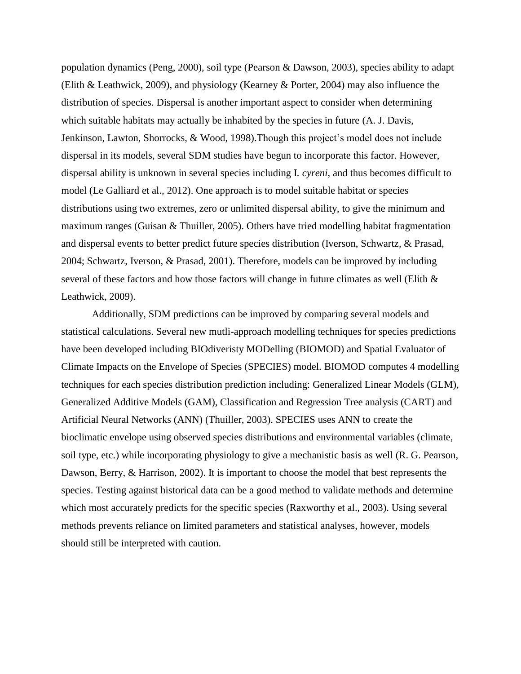population dynamics (Peng, 2000), soil type (Pearson & Dawson, 2003), species ability to adapt (Elith & Leathwick, 2009), and physiology (Kearney & Porter, 2004) may also influence the distribution of species. Dispersal is another important aspect to consider when determining which suitable habitats may actually be inhabited by the species in future (A. J. Davis, Jenkinson, Lawton, Shorrocks, & Wood, 1998).Though this project's model does not include dispersal in its models, several SDM studies have begun to incorporate this factor. However, dispersal ability is unknown in several species including I*. cyreni*, and thus becomes difficult to model (Le Galliard et al., 2012). One approach is to model suitable habitat or species distributions using two extremes, zero or unlimited dispersal ability, to give the minimum and maximum ranges (Guisan & Thuiller, 2005). Others have tried modelling habitat fragmentation and dispersal events to better predict future species distribution (Iverson, Schwartz, & Prasad, 2004; Schwartz, Iverson, & Prasad, 2001). Therefore, models can be improved by including several of these factors and how those factors will change in future climates as well (Elith & Leathwick, 2009).

Additionally, SDM predictions can be improved by comparing several models and statistical calculations. Several new mutli-approach modelling techniques for species predictions have been developed including BIOdiveristy MODelling (BIOMOD) and Spatial Evaluator of Climate Impacts on the Envelope of Species (SPECIES) model. BIOMOD computes 4 modelling techniques for each species distribution prediction including: Generalized Linear Models (GLM), Generalized Additive Models (GAM), Classification and Regression Tree analysis (CART) and Artificial Neural Networks (ANN) (Thuiller, 2003). SPECIES uses ANN to create the bioclimatic envelope using observed species distributions and environmental variables (climate, soil type, etc.) while incorporating physiology to give a mechanistic basis as well (R. G. Pearson, Dawson, Berry, & Harrison, 2002). It is important to choose the model that best represents the species. Testing against historical data can be a good method to validate methods and determine which most accurately predicts for the specific species (Raxworthy et al., 2003). Using several methods prevents reliance on limited parameters and statistical analyses, however, models should still be interpreted with caution.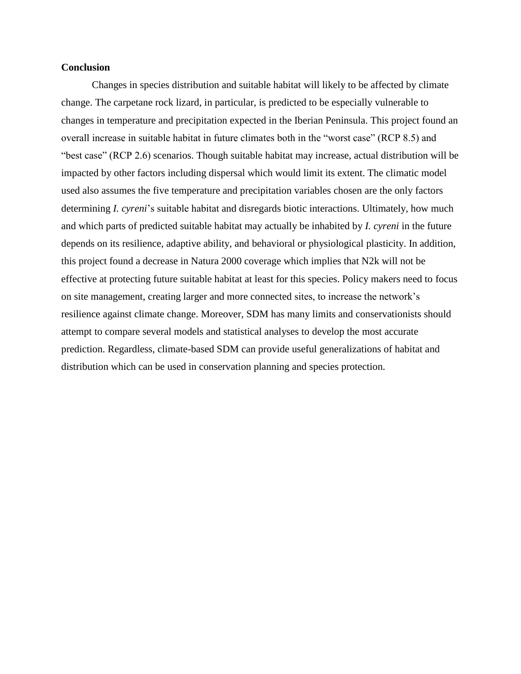## **Conclusion**

Changes in species distribution and suitable habitat will likely to be affected by climate change. The carpetane rock lizard, in particular, is predicted to be especially vulnerable to changes in temperature and precipitation expected in the Iberian Peninsula. This project found an overall increase in suitable habitat in future climates both in the "worst case" (RCP 8.5) and "best case" (RCP 2.6) scenarios. Though suitable habitat may increase, actual distribution will be impacted by other factors including dispersal which would limit its extent. The climatic model used also assumes the five temperature and precipitation variables chosen are the only factors determining *I. cyreni*'s suitable habitat and disregards biotic interactions. Ultimately, how much and which parts of predicted suitable habitat may actually be inhabited by *I. cyreni* in the future depends on its resilience, adaptive ability, and behavioral or physiological plasticity. In addition, this project found a decrease in Natura 2000 coverage which implies that N2k will not be effective at protecting future suitable habitat at least for this species. Policy makers need to focus on site management, creating larger and more connected sites, to increase the network's resilience against climate change. Moreover, SDM has many limits and conservationists should attempt to compare several models and statistical analyses to develop the most accurate prediction. Regardless, climate-based SDM can provide useful generalizations of habitat and distribution which can be used in conservation planning and species protection.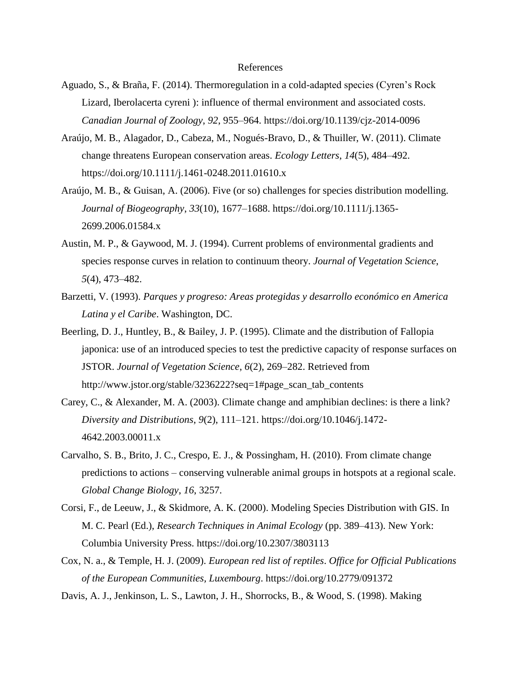### References

- Aguado, S., & Braña, F. (2014). Thermoregulation in a cold-adapted species (Cyren's Rock Lizard, Iberolacerta cyreni ): influence of thermal environment and associated costs. *Canadian Journal of Zoology*, *92*, 955–964. https://doi.org/10.1139/cjz-2014-0096
- Araújo, M. B., Alagador, D., Cabeza, M., Nogués-Bravo, D., & Thuiller, W. (2011). Climate change threatens European conservation areas. *Ecology Letters*, *14*(5), 484–492. https://doi.org/10.1111/j.1461-0248.2011.01610.x
- Araújo, M. B., & Guisan, A. (2006). Five (or so) challenges for species distribution modelling. *Journal of Biogeography*, *33*(10), 1677–1688. https://doi.org/10.1111/j.1365- 2699.2006.01584.x
- Austin, M. P., & Gaywood, M. J. (1994). Current problems of environmental gradients and species response curves in relation to continuum theory. *Journal of Vegetation Science*, *5*(4), 473–482.
- Barzetti, V. (1993). *Parques y progreso: Areas protegidas y desarrollo económico en America Latina y el Caribe*. Washington, DC.
- Beerling, D. J., Huntley, B., & Bailey, J. P. (1995). Climate and the distribution of Fallopia japonica: use of an introduced species to test the predictive capacity of response surfaces on JSTOR. *Journal of Vegetation Science*, *6*(2), 269–282. Retrieved from http://www.jstor.org/stable/3236222?seq=1#page\_scan\_tab\_contents
- Carey, C., & Alexander, M. A. (2003). Climate change and amphibian declines: is there a link? *Diversity and Distributions*, *9*(2), 111–121. https://doi.org/10.1046/j.1472- 4642.2003.00011.x
- Carvalho, S. B., Brito, J. C., Crespo, E. J., & Possingham, H. (2010). From climate change predictions to actions – conserving vulnerable animal groups in hotspots at a regional scale. *Global Change Biology*, *16*, 3257.
- Corsi, F., de Leeuw, J., & Skidmore, A. K. (2000). Modeling Species Distribution with GIS. In M. C. Pearl (Ed.), *Research Techniques in Animal Ecology* (pp. 389–413). New York: Columbia University Press. https://doi.org/10.2307/3803113
- Cox, N. a., & Temple, H. J. (2009). *European red list of reptiles*. *Office for Official Publications of the European Communities, Luxembourg*. https://doi.org/10.2779/091372
- Davis, A. J., Jenkinson, L. S., Lawton, J. H., Shorrocks, B., & Wood, S. (1998). Making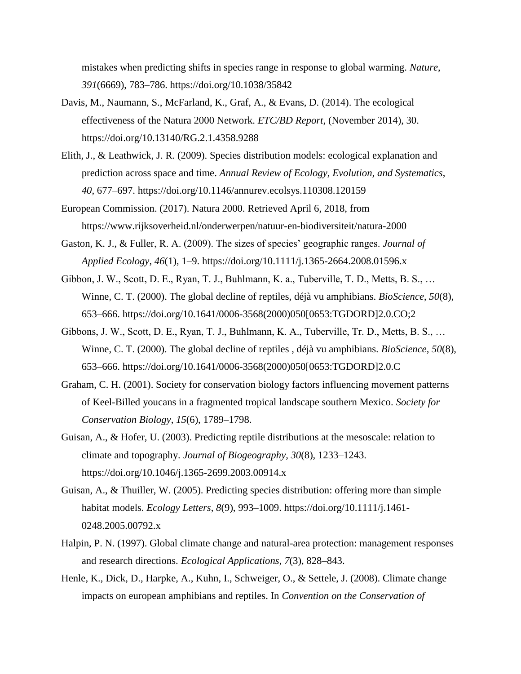mistakes when predicting shifts in species range in response to global warming. *Nature*, *391*(6669), 783–786. https://doi.org/10.1038/35842

- Davis, M., Naumann, S., McFarland, K., Graf, A., & Evans, D. (2014). The ecological effectiveness of the Natura 2000 Network. *ETC/BD Report*, (November 2014), 30. https://doi.org/10.13140/RG.2.1.4358.9288
- Elith, J., & Leathwick, J. R. (2009). Species distribution models: ecological explanation and prediction across space and time. *Annual Review of Ecology, Evolution, and Systematics*, *40*, 677–697. https://doi.org/10.1146/annurev.ecolsys.110308.120159

European Commission. (2017). Natura 2000. Retrieved April 6, 2018, from https://www.rijksoverheid.nl/onderwerpen/natuur-en-biodiversiteit/natura-2000

- Gaston, K. J., & Fuller, R. A. (2009). The sizes of species' geographic ranges. *Journal of Applied Ecology*, *46*(1), 1–9. https://doi.org/10.1111/j.1365-2664.2008.01596.x
- Gibbon, J. W., Scott, D. E., Ryan, T. J., Buhlmann, K. a., Tuberville, T. D., Metts, B. S., … Winne, C. T. (2000). The global decline of reptiles, déjà vu amphibians. *BioScience*, *50*(8), 653–666. https://doi.org/10.1641/0006-3568(2000)050[0653:TGDORD]2.0.CO;2
- Gibbons, J. W., Scott, D. E., Ryan, T. J., Buhlmann, K. A., Tuberville, Tr. D., Metts, B. S., … Winne, C. T. (2000). The global decline of reptiles , déjà vu amphibians. *BioScience*, *50*(8), 653–666. https://doi.org/10.1641/0006-3568(2000)050[0653:TGDORD]2.0.C
- Graham, C. H. (2001). Society for conservation biology factors influencing movement patterns of Keel-Billed youcans in a fragmented tropical landscape southern Mexico. *Society for Conservation Biology*, *15*(6), 1789–1798.
- Guisan, A., & Hofer, U. (2003). Predicting reptile distributions at the mesoscale: relation to climate and topography. *Journal of Biogeography*, *30*(8), 1233–1243. https://doi.org/10.1046/j.1365-2699.2003.00914.x
- Guisan, A., & Thuiller, W. (2005). Predicting species distribution: offering more than simple habitat models. *Ecology Letters*, *8*(9), 993–1009. https://doi.org/10.1111/j.1461- 0248.2005.00792.x
- Halpin, P. N. (1997). Global climate change and natural-area protection: management responses and research directions. *Ecological Applications*, *7*(3), 828–843.
- Henle, K., Dick, D., Harpke, A., Kuhn, I., Schweiger, O., & Settele, J. (2008). Climate change impacts on european amphibians and reptiles. In *Convention on the Conservation of*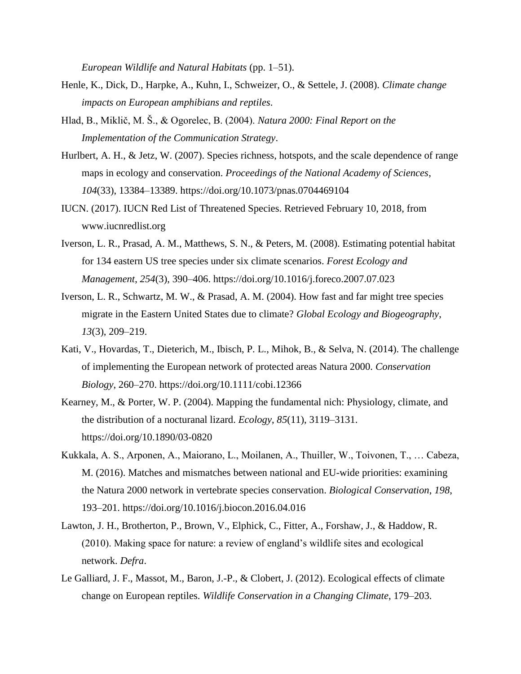*European Wildlife and Natural Habitats* (pp. 1–51).

- Henle, K., Dick, D., Harpke, A., Kuhn, I., Schweizer, O., & Settele, J. (2008). *Climate change impacts on European amphibians and reptiles*.
- Hlad, B., Miklič, M. Š., & Ogorelec, B. (2004). *Natura 2000: Final Report on the Implementation of the Communication Strategy*.
- Hurlbert, A. H., & Jetz, W. (2007). Species richness, hotspots, and the scale dependence of range maps in ecology and conservation. *Proceedings of the National Academy of Sciences*, *104*(33), 13384–13389. https://doi.org/10.1073/pnas.0704469104
- IUCN. (2017). IUCN Red List of Threatened Species. Retrieved February 10, 2018, from www.iucnredlist.org
- Iverson, L. R., Prasad, A. M., Matthews, S. N., & Peters, M. (2008). Estimating potential habitat for 134 eastern US tree species under six climate scenarios. *Forest Ecology and Management*, *254*(3), 390–406. https://doi.org/10.1016/j.foreco.2007.07.023
- Iverson, L. R., Schwartz, M. W., & Prasad, A. M. (2004). How fast and far might tree species migrate in the Eastern United States due to climate? *Global Ecology and Biogeography*, *13*(3), 209–219.
- Kati, V., Hovardas, T., Dieterich, M., Ibisch, P. L., Mihok, B., & Selva, N. (2014). The challenge of implementing the European network of protected areas Natura 2000. *Conservation Biology*, 260–270. https://doi.org/10.1111/cobi.12366
- Kearney, M., & Porter, W. P. (2004). Mapping the fundamental nich: Physiology, climate, and the distribution of a nocturanal lizard. *Ecology*, *85*(11), 3119–3131. https://doi.org/10.1890/03-0820
- Kukkala, A. S., Arponen, A., Maiorano, L., Moilanen, A., Thuiller, W., Toivonen, T., … Cabeza, M. (2016). Matches and mismatches between national and EU-wide priorities: examining the Natura 2000 network in vertebrate species conservation. *Biological Conservation*, *198*, 193–201. https://doi.org/10.1016/j.biocon.2016.04.016
- Lawton, J. H., Brotherton, P., Brown, V., Elphick, C., Fitter, A., Forshaw, J., & Haddow, R. (2010). Making space for nature: a review of england's wildlife sites and ecological network. *Defra*.
- Le Galliard, J. F., Massot, M., Baron, J.-P., & Clobert, J. (2012). Ecological effects of climate change on European reptiles. *Wildlife Conservation in a Changing Climate*, 179–203.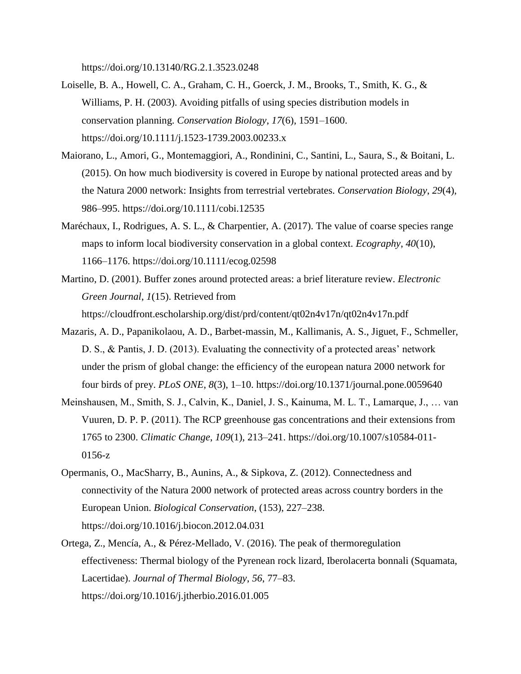https://doi.org/10.13140/RG.2.1.3523.0248

- Loiselle, B. A., Howell, C. A., Graham, C. H., Goerck, J. M., Brooks, T., Smith, K. G., & Williams, P. H. (2003). Avoiding pitfalls of using species distribution models in conservation planning. *Conservation Biology*, *17*(6), 1591–1600. https://doi.org/10.1111/j.1523-1739.2003.00233.x
- Maiorano, L., Amori, G., Montemaggiori, A., Rondinini, C., Santini, L., Saura, S., & Boitani, L. (2015). On how much biodiversity is covered in Europe by national protected areas and by the Natura 2000 network: Insights from terrestrial vertebrates. *Conservation Biology*, *29*(4), 986–995. https://doi.org/10.1111/cobi.12535
- Maréchaux, I., Rodrigues, A. S. L., & Charpentier, A. (2017). The value of coarse species range maps to inform local biodiversity conservation in a global context. *Ecography*, *40*(10), 1166–1176. https://doi.org/10.1111/ecog.02598
- Martino, D. (2001). Buffer zones around protected areas: a brief literature review. *Electronic Green Journal*, *1*(15). Retrieved from https://cloudfront.escholarship.org/dist/prd/content/qt02n4v17n/qt02n4v17n.pdf
- Mazaris, A. D., Papanikolaou, A. D., Barbet-massin, M., Kallimanis, A. S., Jiguet, F., Schmeller, D. S., & Pantis, J. D. (2013). Evaluating the connectivity of a protected areas' network under the prism of global change: the efficiency of the european natura 2000 network for four birds of prey. *PLoS ONE*, *8*(3), 1–10. https://doi.org/10.1371/journal.pone.0059640
- Meinshausen, M., Smith, S. J., Calvin, K., Daniel, J. S., Kainuma, M. L. T., Lamarque, J., … van Vuuren, D. P. P. (2011). The RCP greenhouse gas concentrations and their extensions from 1765 to 2300. *Climatic Change*, *109*(1), 213–241. https://doi.org/10.1007/s10584-011- 0156-z
- Opermanis, O., MacSharry, B., Aunins, A., & Sipkova, Z. (2012). Connectedness and connectivity of the Natura 2000 network of protected areas across country borders in the European Union. *Biological Conservation*, (153), 227–238. https://doi.org/10.1016/j.biocon.2012.04.031
- Ortega, Z., Mencía, A., & Pérez-Mellado, V. (2016). The peak of thermoregulation effectiveness: Thermal biology of the Pyrenean rock lizard, Iberolacerta bonnali (Squamata, Lacertidae). *Journal of Thermal Biology*, *56*, 77–83. https://doi.org/10.1016/j.jtherbio.2016.01.005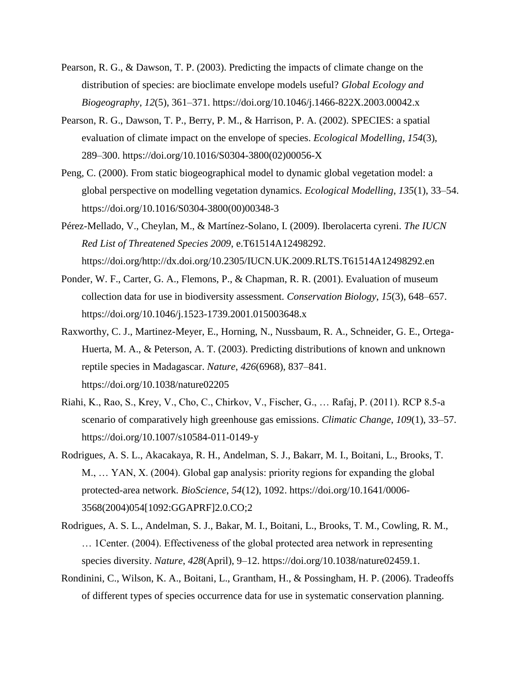- Pearson, R. G., & Dawson, T. P. (2003). Predicting the impacts of climate change on the distribution of species: are bioclimate envelope models useful? *Global Ecology and Biogeography*, *12*(5), 361–371. https://doi.org/10.1046/j.1466-822X.2003.00042.x
- Pearson, R. G., Dawson, T. P., Berry, P. M., & Harrison, P. A. (2002). SPECIES: a spatial evaluation of climate impact on the envelope of species. *Ecological Modelling*, *154*(3), 289–300. https://doi.org/10.1016/S0304-3800(02)00056-X
- Peng, C. (2000). From static biogeographical model to dynamic global vegetation model: a global perspective on modelling vegetation dynamics. *Ecological Modelling*, *135*(1), 33–54. https://doi.org/10.1016/S0304-3800(00)00348-3
- Pérez-Mellado, V., Cheylan, M., & Martínez-Solano, I. (2009). Iberolacerta cyreni. *The IUCN Red List of Threatened Species 2009*, e.T61514A12498292. https://doi.org/http://dx.doi.org/10.2305/IUCN.UK.2009.RLTS.T61514A12498292.en
- Ponder, W. F., Carter, G. A., Flemons, P., & Chapman, R. R. (2001). Evaluation of museum collection data for use in biodiversity assessment. *Conservation Biology*, *15*(3), 648–657. https://doi.org/10.1046/j.1523-1739.2001.015003648.x
- Raxworthy, C. J., Martinez-Meyer, E., Horning, N., Nussbaum, R. A., Schneider, G. E., Ortega-Huerta, M. A., & Peterson, A. T. (2003). Predicting distributions of known and unknown reptile species in Madagascar. *Nature*, *426*(6968), 837–841. https://doi.org/10.1038/nature02205
- Riahi, K., Rao, S., Krey, V., Cho, C., Chirkov, V., Fischer, G., … Rafaj, P. (2011). RCP 8.5-a scenario of comparatively high greenhouse gas emissions. *Climatic Change*, *109*(1), 33–57. https://doi.org/10.1007/s10584-011-0149-y
- Rodrigues, A. S. L., Akacakaya, R. H., Andelman, S. J., Bakarr, M. I., Boitani, L., Brooks, T. M., … YAN, X. (2004). Global gap analysis: priority regions for expanding the global protected-area network. *BioScience*, *54*(12), 1092. https://doi.org/10.1641/0006- 3568(2004)054[1092:GGAPRF]2.0.CO;2
- Rodrigues, A. S. L., Andelman, S. J., Bakar, M. I., Boitani, L., Brooks, T. M., Cowling, R. M., … 1Center. (2004). Effectiveness of the global protected area network in representing species diversity. *Nature*, *428*(April), 9–12. https://doi.org/10.1038/nature02459.1.
- Rondinini, C., Wilson, K. A., Boitani, L., Grantham, H., & Possingham, H. P. (2006). Tradeoffs of different types of species occurrence data for use in systematic conservation planning.